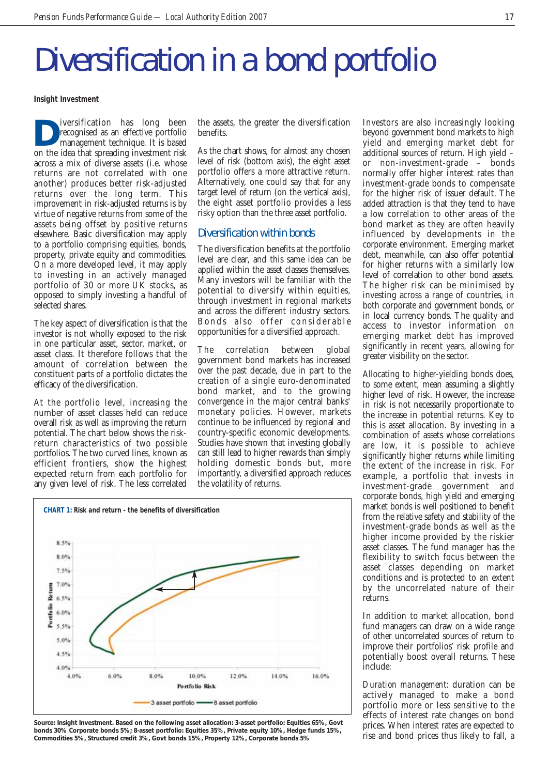## Diversification in a bond portfolio

**Insight Investment**

**D**iversification has long been<br>recognised as an effective portfolio<br>management technique. It is based<br>on the idea that spreading investment risk recognised as an effective portfolio management technique. It is based on the idea that spreading investment risk across a mix of diverse assets (i.e. whose returns are not correlated with one another) produces better risk-adjusted returns over the long term. This improvement in risk-adjusted returns is by virtue of negative returns from some of the assets being offset by positive returns elsewhere. Basic diversification may apply to a portfolio comprising equities, bonds, property, private equity and commodities. On a more developed level, it may apply to investing in an actively managed portfolio of 30 or more UK stocks, as opposed to simply investing a handful of selected shares.

The key aspect of diversification is that the investor is not wholly exposed to the risk in one particular asset, sector, market, or asset class. It therefore follows that the amount of correlation between the constituent parts of a portfolio dictates the efficacy of the diversification.

At the portfolio level, increasing the number of asset classes held can reduce overall risk as well as improving the return potential. The chart below shows the riskreturn characteristics of two possible portfolios. The two curved lines, known as efficient frontiers, show the highest expected return from each portfolio for any given level of risk. The less correlated the assets, the greater the diversification benefits.

As the chart shows, for almost any chosen level of risk (bottom axis), the eight asset portfolio offers a more attractive return. Alternatively, one could say that for any target level of return (on the vertical axis), the eight asset portfolio provides a less risky option than the three asset portfolio.

## Diversification within bonds

The diversification benefits at the portfolio level are clear, and this same idea can be applied within the asset classes themselves. Many investors will be familiar with the potential to diversify within equities, through investment in regional markets and across the different industry sectors. Bonds also offer considerable opportunities for a diversified approach.

The correlation between global government bond markets has increased over the past decade, due in part to the creation of a single euro-denominated bond market, and to the growing convergence in the major central banks' monetary policies. However, markets continue to be influenced by regional and country-specific economic developments. Studies have shown that investing globally can still lead to higher rewards than simply holding domestic bonds but, more importantly, a diversified approach reduces the volatility of returns.



**Source: Insight Investment. Based on the following asset allocation: 3-asset portfolio: Equities 65%, Govt bonds 30% Corporate bonds 5%; 8-asset portfolio: Equities 35%, Private equity 10%, Hedge funds 15%, Commodities 5%, Structured credit 3%, Govt bonds 15%, Property 12%, Corporate bonds 5%**

Investors are also increasingly looking beyond government bond markets to high yield and emerging market debt for additional sources of return. High yield – or non-investment-grade – bonds normally offer higher interest rates than investment-grade bonds to compensate for the higher risk of issuer default. The added attraction is that they tend to have a low correlation to other areas of the bond market as they are often heavily influenced by developments in the corporate environment. Emerging market debt, meanwhile, can also offer potential for higher returns with a similarly low level of correlation to other bond assets. The higher risk can be minimised by investing across a range of countries, in both corporate and government bonds, or in local currency bonds. The quality and access to investor information on emerging market debt has improved significantly in recent years, allowing for greater visibility on the sector.

Allocating to higher-yielding bonds does, to some extent, mean assuming a slightly higher level of risk. However, the increase in risk is not necessarily proportionate to the increase in potential returns. Key to this is asset allocation. By investing in a combination of assets whose correlations are low, it is possible to achieve significantly higher returns while limiting the extent of the increase in risk. For example, a portfolio that invests in investment-grade government and corporate bonds, high yield and emerging market bonds is well positioned to benefit from the relative safety and stability of the investment-grade bonds as well as the higher income provided by the riskier asset classes. The fund manager has the flexibility to switch focus between the asset classes depending on market conditions and is protected to an extent by the uncorrelated nature of their returns.

In addition to market allocation, bond fund managers can draw on a wide range of other uncorrelated sources of return to improve their portfolios' risk profile and potentially boost overall returns. These include:

*Duration management:* duration can be actively managed to make a bond portfolio more or less sensitive to the effects of interest rate changes on bond prices. When interest rates are expected to rise and bond prices thus likely to fall, a